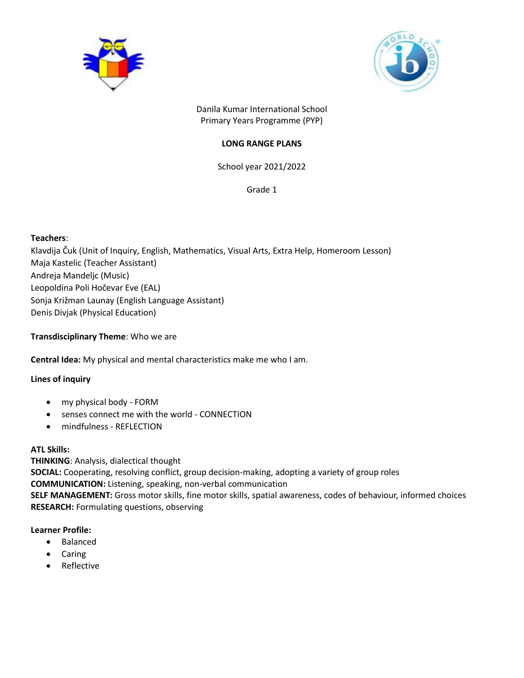



Danila Kumar International School Primary Years Programme (PYP)

# **LONG RANGE PLANS**

School year 2021/2022

Grade 1

# **Teachers**:

Klavdija Čuk (Unit of Inquiry, English, Mathematics, Visual Arts, Extra Help, Homeroom Lesson) Maja Kastelic (Teacher Assistant) Andreja Mandeljc (Music) Leopoldina Poli Hočevar Eve (EAL) Sonja Križman Launay (English Language Assistant) Denis Divjak (Physical Education)

**Transdisciplinary Theme**: Who we are

**Central Idea:** My physical and mental characteristics make me who I am.

# **Lines of inquiry**

- my physical body FORM
- senses connect me with the world CONNECTION
- mindfulness REFLECTION

# **ATL Skills:**

**THINKING**: Analysis, dialectical thought **SOCIAL:** Cooperating, resolving conflict, group decision-making, adopting a variety of group roles **COMMUNICATION:** Listening, speaking, non-verbal communication **SELF MANAGEMENT:** Gross motor skills, fine motor skills, spatial awareness, codes of behaviour, informed choices **RESEARCH:** Formulating questions, observing

# **Learner Profile:**

- Balanced
- Caring
- Reflective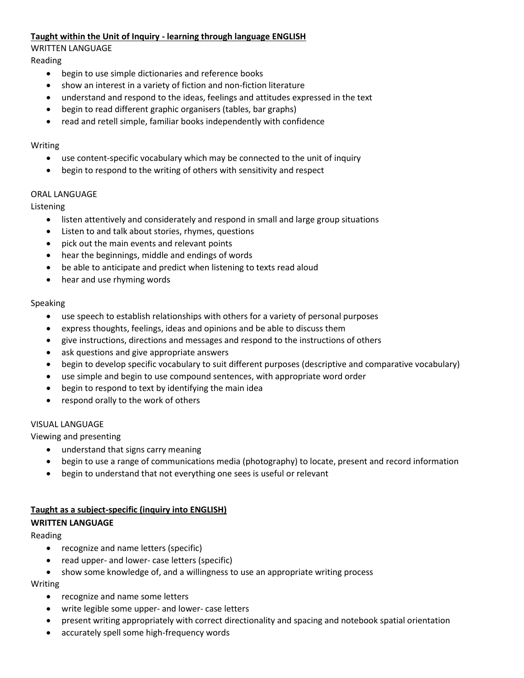### **Taught within the Unit of Inquiry - learning through language ENGLISH**

WRITTEN LANGUAGE

Reading

- begin to use simple dictionaries and reference books
- show an interest in a variety of fiction and non-fiction literature
- understand and respond to the ideas, feelings and attitudes expressed in the text
- begin to read different graphic organisers (tables, bar graphs)
- read and retell simple, familiar books independently with confidence

#### Writing

- use content-specific vocabulary which may be connected to the unit of inquiry
- begin to respond to the writing of others with sensitivity and respect

### ORAL LANGUAGE

Listening

- listen attentively and considerately and respond in small and large group situations
- Listen to and talk about stories, rhymes, questions
- pick out the main events and relevant points
- hear the beginnings, middle and endings of words
- be able to anticipate and predict when listening to texts read aloud
- hear and use rhyming words

### Speaking

- use speech to establish relationships with others for a variety of personal purposes
- express thoughts, feelings, ideas and opinions and be able to discuss them
- give instructions, directions and messages and respond to the instructions of others
- ask questions and give appropriate answers
- begin to develop specific vocabulary to suit different purposes (descriptive and comparative vocabulary)
- use simple and begin to use compound sentences, with appropriate word order
- begin to respond to text by identifying the main idea
- respond orally to the work of others

#### VISUAL LANGUAGE

Viewing and presenting

- understand that signs carry meaning
- begin to use a range of communications media (photography) to locate, present and record information
- begin to understand that not everything one sees is useful or relevant

# **Taught as a subject-specific (inquiry into ENGLISH)**

# **WRITTEN LANGUAGE**

Reading

- recognize and name letters (specific)
- read upper- and lower- case letters (specific)
- show some knowledge of, and a willingness to use an appropriate writing process

Writing

- recognize and name some letters
- write legible some upper- and lower- case letters
- present writing appropriately with correct directionality and spacing and notebook spatial orientation
- accurately spell some high-frequency words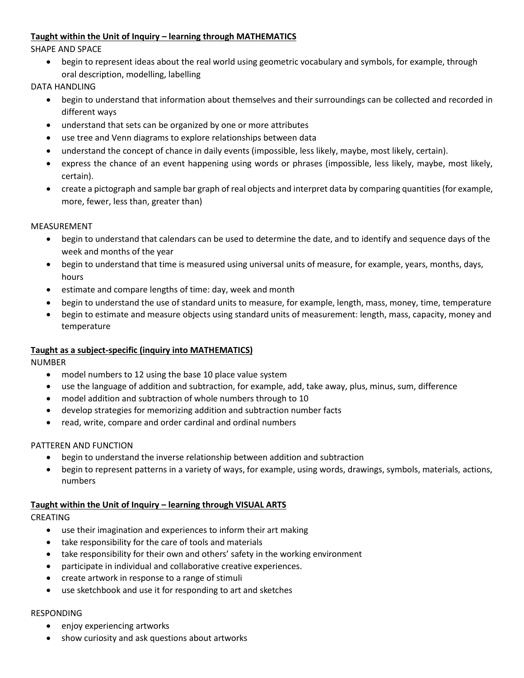# **Taught within the Unit of Inquiry – learning through MATHEMATICS**

SHAPE AND SPACE

 begin to represent ideas about the real world using geometric vocabulary and symbols, for example, through oral description, modelling, labelling

DATA HANDLING

- begin to understand that information about themselves and their surroundings can be collected and recorded in different ways
- understand that sets can be organized by one or more attributes
- use tree and Venn diagrams to explore relationships between data
- understand the concept of chance in daily events (impossible, less likely, maybe, most likely, certain).
- express the chance of an event happening using words or phrases (impossible, less likely, maybe, most likely, certain).
- create a pictograph and sample bar graph of real objects and interpret data by comparing quantities (for example, more, fewer, less than, greater than)

#### MEASUREMENT

- begin to understand that calendars can be used to determine the date, and to identify and sequence days of the week and months of the year
- begin to understand that time is measured using universal units of measure, for example, years, months, days, hours
- estimate and compare lengths of time: day, week and month
- begin to understand the use of standard units to measure, for example, length, mass, money, time, temperature
- begin to estimate and measure objects using standard units of measurement: length, mass, capacity, money and temperature

#### **Taught as a subject-specific (inquiry into MATHEMATICS)**

NUMBER

- model numbers to 12 using the base 10 place value system
- use the language of addition and subtraction, for example, add, take away, plus, minus, sum, difference
- model addition and subtraction of whole numbers through to 10
- develop strategies for memorizing addition and subtraction number facts
- read, write, compare and order cardinal and ordinal numbers

#### PATTEREN AND FUNCTION

- begin to understand the inverse relationship between addition and subtraction
- begin to represent patterns in a variety of ways, for example, using words, drawings, symbols, materials, actions, numbers

#### **Taught within the Unit of Inquiry – learning through VISUAL ARTS**

#### CREATING

- use their imagination and experiences to inform their art making
- take responsibility for the care of tools and materials
- take responsibility for their own and others' safety in the working environment
- participate in individual and collaborative creative experiences.
- create artwork in response to a range of stimuli
- use sketchbook and use it for responding to art and sketches

#### RESPONDING

- enjoy experiencing artworks
- show curiosity and ask questions about artworks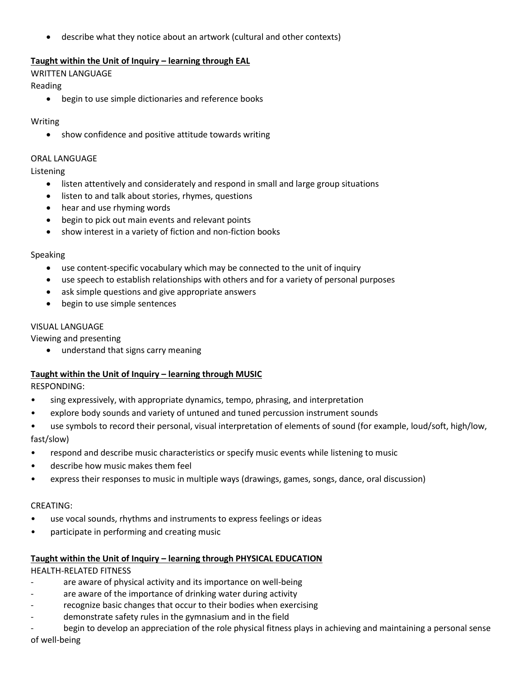describe what they notice about an artwork (cultural and other contexts)

### **Taught within the Unit of Inquiry – learning through EAL**

#### WRITTEN LANGUAGE

Reading

begin to use simple dictionaries and reference books

#### Writing

show confidence and positive attitude towards writing

#### ORAL LANGUAGE

Listening

- listen attentively and considerately and respond in small and large group situations
- **.** listen to and talk about stories, rhymes, questions
- hear and use rhyming words
- begin to pick out main events and relevant points
- show interest in a variety of fiction and non-fiction books

#### Speaking

- use content-specific vocabulary which may be connected to the unit of inquiry
- use speech to establish relationships with others and for a variety of personal purposes
- ask simple questions and give appropriate answers
- begin to use simple sentences

#### VISUAL LANGUAGE

Viewing and presenting

• understand that signs carry meaning

#### **Taught within the Unit of Inquiry – learning through MUSIC**

RESPONDING:

- sing expressively, with appropriate dynamics, tempo, phrasing, and interpretation
- explore body sounds and variety of untuned and tuned percussion instrument sounds
- use symbols to record their personal, visual interpretation of elements of sound (for example, loud/soft, high/low, fast/slow)
- respond and describe music characteristics or specify music events while listening to music
- describe how music makes them feel
- express their responses to music in multiple ways (drawings, games, songs, dance, oral discussion)

#### CREATING:

- use vocal sounds, rhythms and instruments to express feelings or ideas
- participate in performing and creating music

#### **Taught within the Unit of Inquiry – learning through PHYSICAL EDUCATION**

HEALTH-RELATED FITNESS

- are aware of physical activity and its importance on well-being
- are aware of the importance of drinking water during activity
- recognize basic changes that occur to their bodies when exercising
- demonstrate safety rules in the gymnasium and in the field
- begin to develop an appreciation of the role physical fitness plays in achieving and maintaining a personal sense of well-being